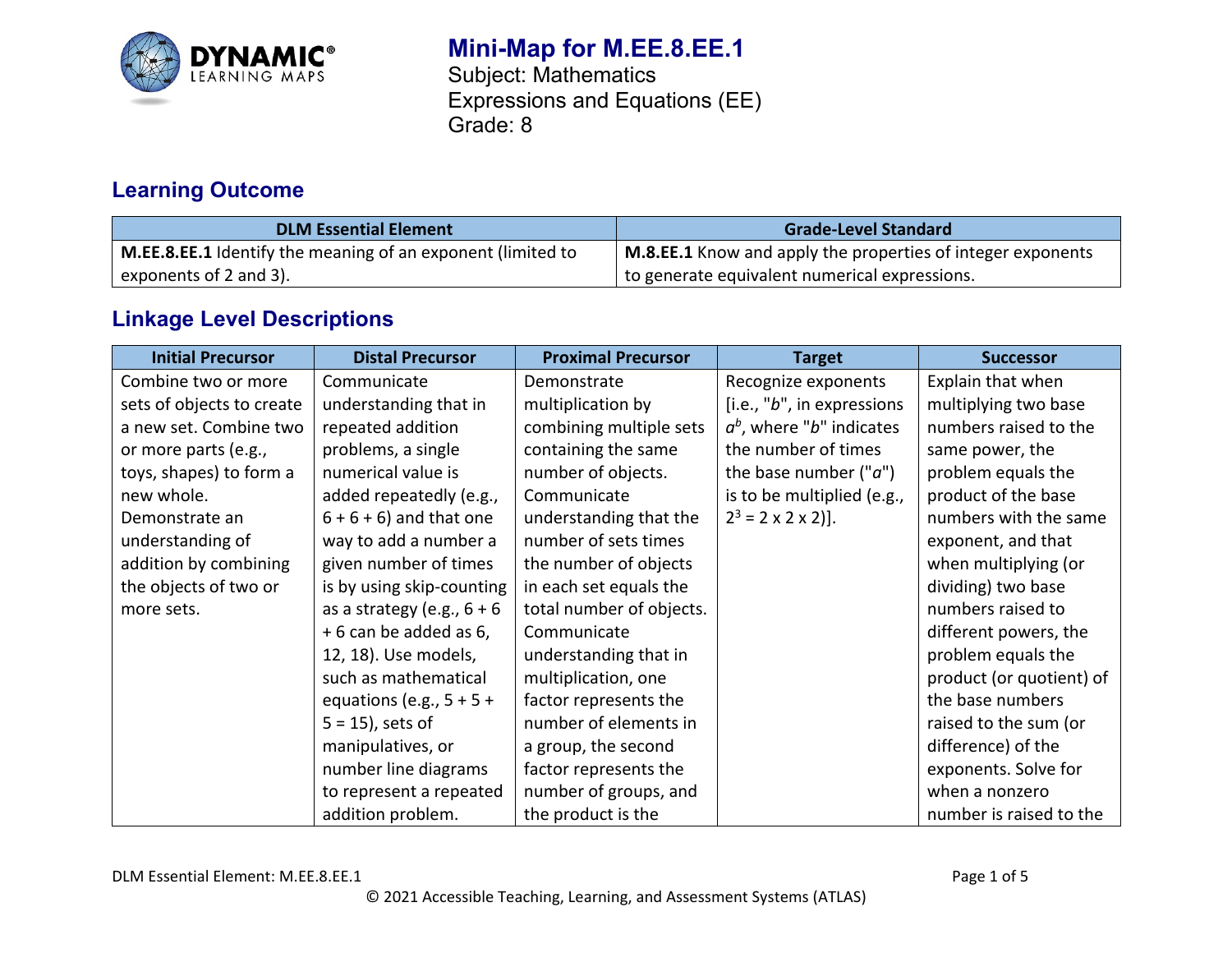

# **Mini-Map for M.EE.8.EE.1**

Subject: Mathematics Expressions and Equations (EE) Grade: 8

### **Learning Outcome**

| <b>DLM Essential Element</b>                                | <b>Grade-Level Standard</b>                                 |
|-------------------------------------------------------------|-------------------------------------------------------------|
| M.EE.8.EE.1 Identify the meaning of an exponent (limited to | M.8.EE.1 Know and apply the properties of integer exponents |
| exponents of 2 and 3).                                      | to generate equivalent numerical expressions.               |

## **Linkage Level Descriptions**

| <b>Initial Precursor</b>  | <b>Distal Precursor</b>      | <b>Proximal Precursor</b> | <b>Target</b>                  | <b>Successor</b>         |
|---------------------------|------------------------------|---------------------------|--------------------------------|--------------------------|
| Combine two or more       | Communicate                  | Demonstrate               | Recognize exponents            | Explain that when        |
| sets of objects to create | understanding that in        | multiplication by         | [i.e., "b", in expressions     | multiplying two base     |
| a new set. Combine two    | repeated addition            | combining multiple sets   | $a^b$ , where "b" indicates    | numbers raised to the    |
| or more parts (e.g.,      | problems, a single           | containing the same       | the number of times            | same power, the          |
| toys, shapes) to form a   | numerical value is           | number of objects.        | the base number $("a")$        | problem equals the       |
| new whole.                | added repeatedly (e.g.,      | Communicate               | is to be multiplied (e.g.,     | product of the base      |
| Demonstrate an            | $6 + 6 + 6$ ) and that one   | understanding that the    | $2^3 = 2 \times 2 \times 2$ ]. | numbers with the same    |
| understanding of          | way to add a number a        | number of sets times      |                                | exponent, and that       |
| addition by combining     | given number of times        | the number of objects     |                                | when multiplying (or     |
| the objects of two or     | is by using skip-counting    | in each set equals the    |                                | dividing) two base       |
| more sets.                | as a strategy (e.g., $6 + 6$ | total number of objects.  |                                | numbers raised to        |
|                           | +6 can be added as 6,        | Communicate               |                                | different powers, the    |
|                           | 12, 18). Use models,         | understanding that in     |                                | problem equals the       |
|                           | such as mathematical         | multiplication, one       |                                | product (or quotient) of |
|                           | equations (e.g., $5 + 5 +$   | factor represents the     |                                | the base numbers         |
|                           | $5 = 15$ , sets of           | number of elements in     |                                | raised to the sum (or    |
|                           | manipulatives, or            | a group, the second       |                                | difference) of the       |
|                           | number line diagrams         | factor represents the     |                                | exponents. Solve for     |
|                           | to represent a repeated      | number of groups, and     |                                | when a nonzero           |
|                           | addition problem.            | the product is the        |                                | number is raised to the  |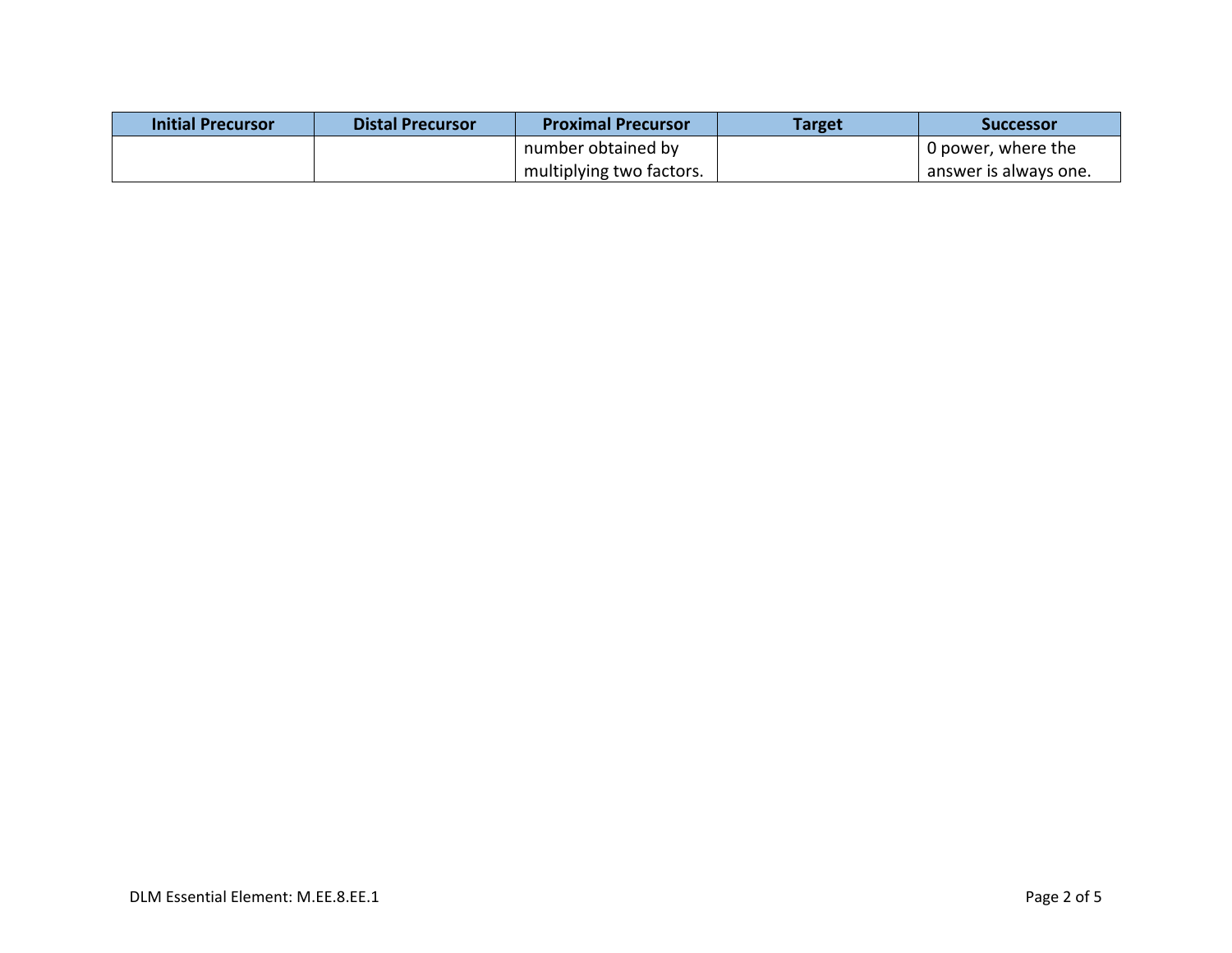| Initial Precursor | <b>Distal Precursor</b> | <b>Proximal Precursor</b> | Target | <b>Successor</b>      |
|-------------------|-------------------------|---------------------------|--------|-----------------------|
|                   |                         | number obtained by        |        | 0 power, where the    |
|                   |                         | multiplying two factors.  |        | answer is always one. |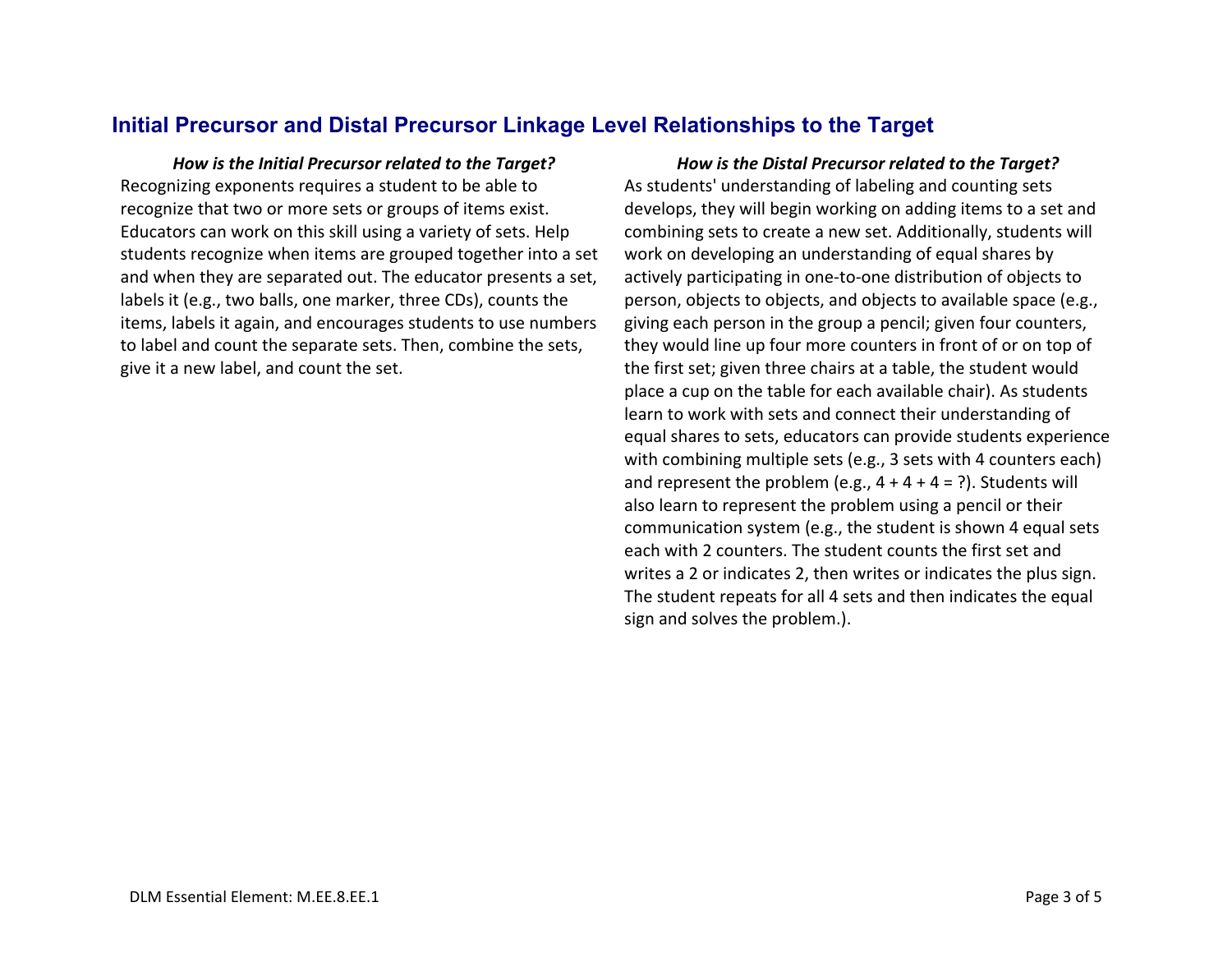### **Initial Precursor and Distal Precursor Linkage Level Relationships to the Target**

Recognizing exponents requires a student to be able to recognize that two or more sets or groups of items exist. Educators can work on this skill using a variety of sets. Help students recognize when items are grouped together into a set and when they are separated out. The educator presents a set, labels it (e.g., two balls, one marker, three CDs), counts the items, labels it again, and encourages students to use numbers to label and count the separate sets. Then, combine the sets, give it a new label, and count the set.

*How is the Initial Precursor related to the Target? How is the Distal Precursor related to the Target?* As students' understanding of labeling and counting sets develops, they will begin working on adding items to a set and combining sets to create a new set. Additionally, students will work on developing an understanding of equal shares by actively participating in one-to-one distribution of objects to person, objects to objects, and objects to available space (e.g., giving each person in the group a pencil; given four counters, they would line up four more counters in front of or on top of the first set; given three chairs at a table, the student would place a cup on the table for each available chair). As students learn to work with sets and connect their understanding of equal shares to sets, educators can provide students experience with combining multiple sets (e.g., 3 sets with 4 counters each) and represent the problem (e.g.,  $4 + 4 + 4 = ?$ ). Students will also learn to represent the problem using a pencil or their communication system (e.g., the student is shown 4 equal sets each with 2 counters. The student counts the first set and writes a 2 or indicates 2, then writes or indicates the plus sign. The student repeats for all 4 sets and then indicates the equal sign and solves the problem.).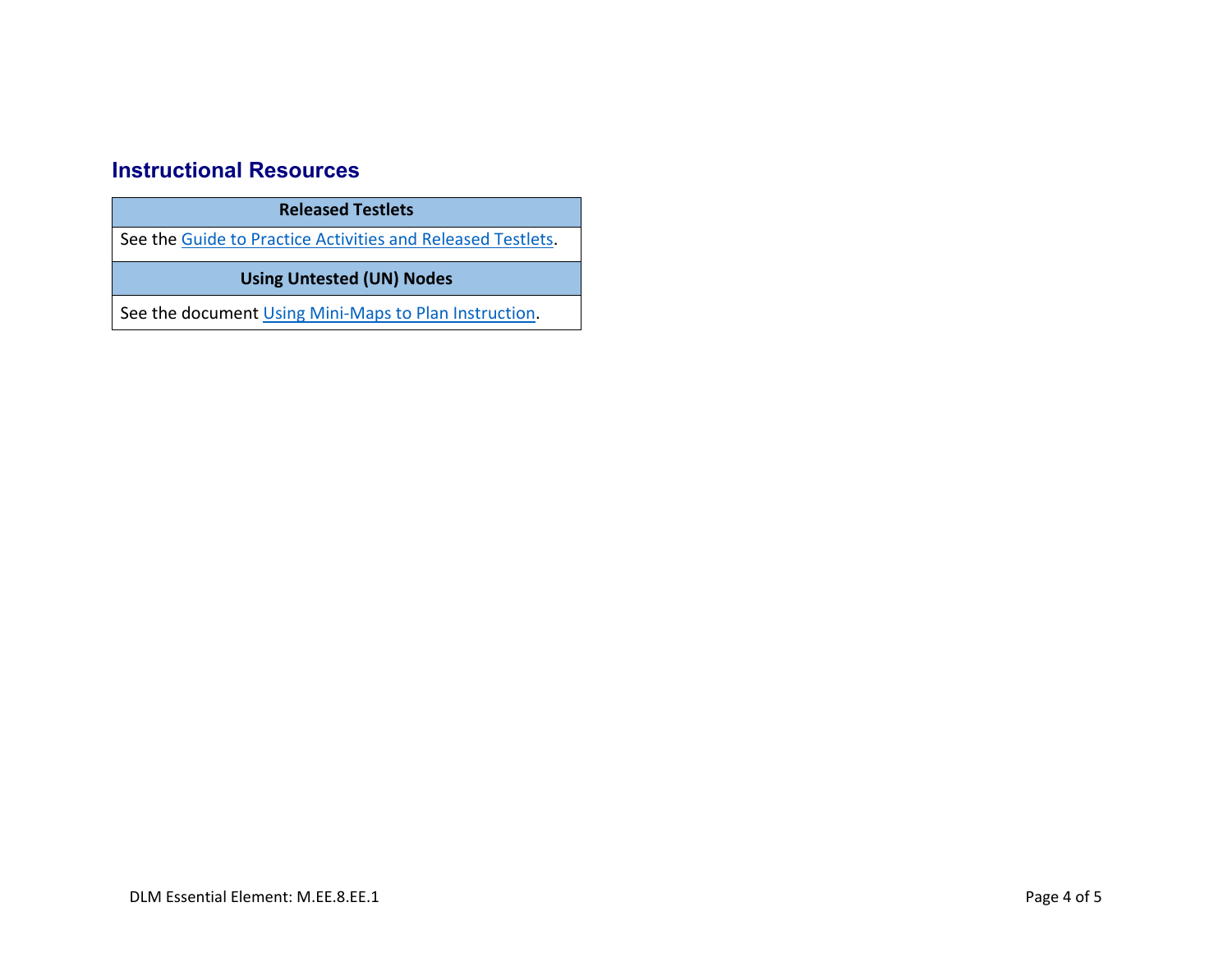## **Instructional Resources**

| <b>Released Testlets</b>                                    |  |  |
|-------------------------------------------------------------|--|--|
| See the Guide to Practice Activities and Released Testlets. |  |  |
| <b>Using Untested (UN) Nodes</b>                            |  |  |
|                                                             |  |  |